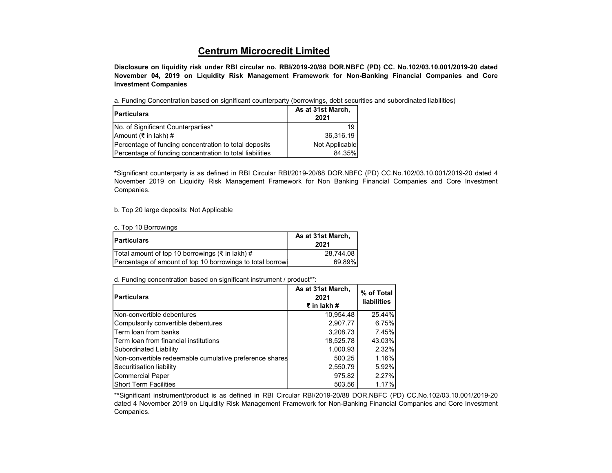## Centrum Microcredit Limited

Disclosure on liquidity risk under RBI circular no. RBI/2019-20/88 DOR.NBFC (PD) CC. No.102/03.10.001/2019-20 dated November 04, 2019 on Liquidity Risk Management Framework for Non-Banking Financial Companies and Core Investment Companies

a. Funding Concentration based on significant counterparty (borrowings, debt securities and subordinated liabilities)

| <b>Particulars</b>                                       | As at 31st March,<br>2021 |
|----------------------------------------------------------|---------------------------|
| No. of Significant Counterparties*                       | 19                        |
| Amount (₹ in lakh) #                                     | 36.316.19                 |
| Percentage of funding concentration to total deposits    | Not Applicable            |
| Percentage of funding concentration to total liabilities | 84.35%                    |

\*Significant counterparty is as defined in RBI Circular RBI/2019-20/88 DOR.NBFC (PD) CC.No.102/03.10.001/2019-20 dated 4 November 2019 on Liquidity Risk Management Framework for Non Banking Financial Companies and Core Investment Companies.

b. Top 20 large deposits: Not Applicable

c. Top 10 Borrowings

| <b>Particulars</b>                                         | As at 31st March,<br>2021 |
|------------------------------------------------------------|---------------------------|
| Total amount of top 10 borrowings (₹ in lakh) #            | 28.744.08                 |
| Percentage of amount of top 10 borrowings to total borrowi | 69.89%                    |

d. Funding concentration based on significant instrument / product\*\*:

| <b>Particulars</b>                                      | As at 31st March,<br>2021<br>₹ in lakh # | % of Total I<br><b>liabilities</b> |
|---------------------------------------------------------|------------------------------------------|------------------------------------|
| Non-convertible debentures                              | 10,954.48                                | 25.44%                             |
| Compulsorily convertible debentures                     | 2,907.77                                 | 6.75%                              |
| <b>Term loan from banks</b>                             | 3,208.73                                 | 7.45%                              |
| lTerm loan from financial institutions                  | 18,525.78                                | 43.03%                             |
| Subordinated Liability                                  | 1,000.93                                 | 2.32%                              |
| Non-convertible redeemable cumulative preference shares | 500.25                                   | 1.16%                              |
| Securitisation liability                                | 2,550.79                                 | 5.92%                              |
| Commercial Paper                                        | 975.82                                   | 2.27%                              |
| IShort Term Facilities                                  | 503.56                                   | 1.17%                              |

\*\*Significant instrument/product is as defined in RBI Circular RBI/2019-20/88 DOR.NBFC (PD) CC.No.102/03.10.001/2019-20 dated 4 November 2019 on Liquidity Risk Management Framework for Non-Banking Financial Companies and Core Investment Companies.